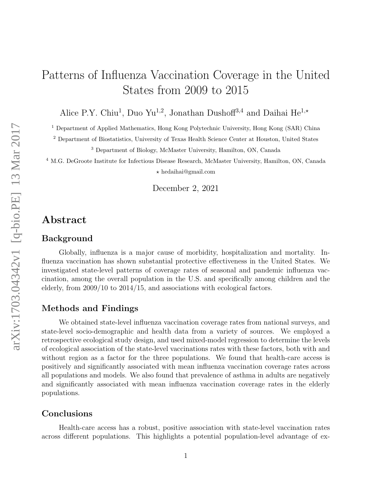# Patterns of Influenza Vaccination Coverage in the United States from 2009 to 2015

Alice P.Y. Chiu<sup>1</sup>, Duo Yu<sup>1,2</sup>, Jonathan Dushof<sup>43,4</sup> and Daihai He<sup>1,\*</sup>

<sup>1</sup> Department of Applied Mathematics, Hong Kong Polytechnic University, Hong Kong (SAR) China

<sup>2</sup> Department of Biostatistics, University of Texas Health Science Center at Houston, United States

<sup>3</sup> Department of Biology, McMaster University, Hamilton, ON, Canada

<sup>4</sup> M.G. DeGroote Institute for Infectious Disease Research, McMaster University, Hamilton, ON, Canada  $\star$  hedaihai@gmail.com

December 2, 2021

#### Abstract

#### Background

Globally, influenza is a major cause of morbidity, hospitalization and mortality. Influenza vaccination has shown substantial protective effectiveness in the United States. We investigated state-level patterns of coverage rates of seasonal and pandemic influenza vaccination, among the overall population in the U.S. and specifically among children and the elderly, from 2009/10 to 2014/15, and associations with ecological factors.

#### Methods and Findings

We obtained state-level influenza vaccination coverage rates from national surveys, and state-level socio-demographic and health data from a variety of sources. We employed a retrospective ecological study design, and used mixed-model regression to determine the levels of ecological association of the state-level vaccinations rates with these factors, both with and without region as a factor for the three populations. We found that health-care access is positively and significantly associated with mean influenza vaccination coverage rates across all populations and models. We also found that prevalence of asthma in adults are negatively and significantly associated with mean influenza vaccination coverage rates in the elderly populations.

#### Conclusions

Health-care access has a robust, positive association with state-level vaccination rates across different populations. This highlights a potential population-level advantage of ex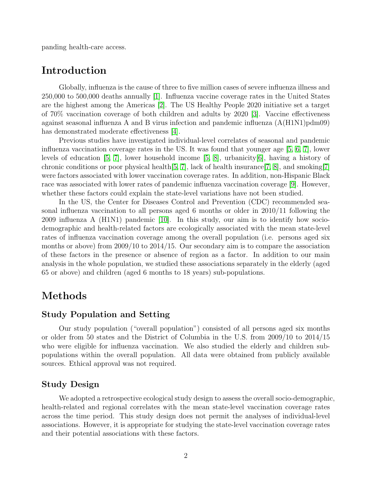panding health-care access.

### Introduction

Globally, influenza is the cause of three to five million cases of severe influenza illness and 250,000 to 500,000 deaths annually [\[1\]](#page-7-0). Influenza vaccine coverage rates in the United States are the highest among the Americas [\[2\]](#page-7-1). The US Healthy People 2020 initiative set a target of 70% vaccination coverage of both children and adults by 2020 [\[3\]](#page-7-2). Vaccine effectiveness against seasonal influenza A and B virus infection and pandemic influenza (A(H1N1)pdm09) has demonstrated moderate effectiveness [\[4\]](#page-7-3).

Previous studies have investigated individual-level correlates of seasonal and pandemic influenza vaccination coverage rates in the US. It was found that younger age [\[5,](#page-7-4) [6,](#page-7-5) [7\]](#page-7-6), lower levels of education [\[5,](#page-7-4) [7\]](#page-7-6), lower household income [\[5,](#page-7-4) [8\]](#page-7-7), urbanicity[\[6\]](#page-7-5), having a history of chronic conditions or poor physical health[\[5,](#page-7-4) [7\]](#page-7-6), lack of health insurance[\[7,](#page-7-6) [8\]](#page-7-7), and smoking[\[7\]](#page-7-6) were factors associated with lower vaccination coverage rates. In addition, non-Hispanic Black race was associated with lower rates of pandemic influenza vaccination coverage [\[9\]](#page-7-8). However, whether these factors could explain the state-level variations have not been studied.

In the US, the Center for Diseases Control and Prevention (CDC) recommended seasonal influenza vaccination to all persons aged 6 months or older in 2010/11 following the 2009 influenza A (H1N1) pandemic [\[10\]](#page-8-0). In this study, our aim is to identify how sociodemographic and health-related factors are ecologically associated with the mean state-level rates of influenza vaccination coverage among the overall population (i.e. persons aged six months or above) from 2009/10 to 2014/15. Our secondary aim is to compare the association of these factors in the presence or absence of region as a factor. In addition to our main analysis in the whole population, we studied these associations separately in the elderly (aged 65 or above) and children (aged 6 months to 18 years) sub-populations.

# Methods

#### Study Population and Setting

Our study population ("overall population") consisted of all persons aged six months or older from 50 states and the District of Columbia in the U.S. from 2009/10 to 2014/15 who were eligible for influenza vaccination. We also studied the elderly and children subpopulations within the overall population. All data were obtained from publicly available sources. Ethical approval was not required.

#### Study Design

We adopted a retrospective ecological study design to assess the overall socio-demographic, health-related and regional correlates with the mean state-level vaccination coverage rates across the time period. This study design does not permit the analyses of individual-level associations. However, it is appropriate for studying the state-level vaccination coverage rates and their potential associations with these factors.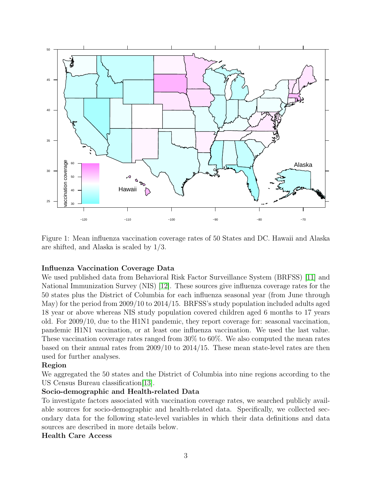

Figure 1: Mean influenza vaccination coverage rates of 50 States and DC. Hawaii and Alaska are shifted, and Alaska is scaled by 1/3.

#### Influenza Vaccination Coverage Data

We used published data from Behavioral Risk Factor Surveillance System (BRFSS) [\[11\]](#page-8-1) and National Immunization Survey (NIS) [\[12\]](#page-8-2). These sources give influenza coverage rates for the 50 states plus the District of Columbia for each influenza seasonal year (from June through May) for the period from 2009/10 to 2014/15. BRFSS's study population included adults aged 18 year or above whereas NIS study population covered children aged 6 months to 17 years old. For 2009/10, due to the H1N1 pandemic, they report coverage for: seasonal vaccination, pandemic H1N1 vaccination, or at least one influenza vaccination. We used the last value. These vaccination coverage rates ranged from 30% to 60%. We also computed the mean rates based on their annual rates from 2009/10 to 2014/15. These mean state-level rates are then used for further analyses.

#### Region

We aggregated the 50 states and the District of Columbia into nine regions according to the US Census Bureau classification[\[13\]](#page-8-3).

#### Socio-demographic and Health-related Data

To investigate factors associated with vaccination coverage rates, we searched publicly available sources for socio-demographic and health-related data. Specifically, we collected secondary data for the following state-level variables in which their data definitions and data sources are described in more details below.

#### Health Care Access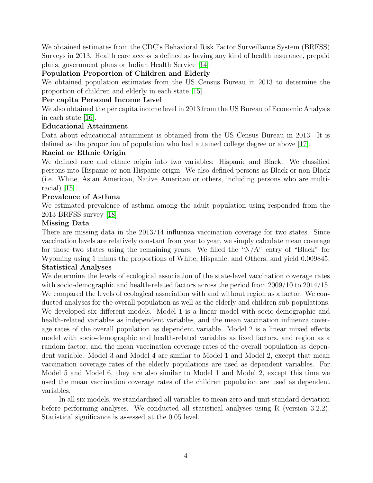We obtained estimates from the CDC's Behavioral Risk Factor Surveillance System (BRFSS) Surveys in 2013. Health care access is defined as having any kind of health insurance, prepaid plans, government plans or Indian Health Service [\[14\]](#page-8-4).

#### Population Proportion of Children and Elderly

We obtained population estimates from the US Census Bureau in 2013 to determine the proportion of children and elderly in each state [\[15\]](#page-8-5).

#### Per capita Personal Income Level

We also obtained the per capita income level in 2013 from the US Bureau of Economic Analysis in each state [\[16\]](#page-8-6).

#### Educational Attainment

Data about educational attainment is obtained from the US Census Bureau in 2013. It is defined as the proportion of population who had attained college degree or above [\[17\]](#page-8-7).

#### Racial or Ethnic Origin

We defined race and ethnic origin into two variables: Hispanic and Black. We classified persons into Hispanic or non-Hispanic origin. We also defined persons as Black or non-Black (i.e. White, Asian American, Native American or others, including persons who are multiracial) [\[15\]](#page-8-5).

#### Prevalence of Asthma

We estimated prevalence of asthma among the adult population using responded from the 2013 BRFSS survey [\[18\]](#page-8-8).

#### Missing Data

There are missing data in the 2013/14 influenza vaccination coverage for two states. Since vaccination levels are relatively constant from year to year, we simply calculate mean coverage for those two states using the remaining years. We filled the " $N/A$ " entry of "Black" for Wyoming using 1 minus the proportions of White, Hispanic, and Others, and yield 0.009845.

#### Statistical Analyses

We determine the levels of ecological association of the state-level vaccination coverage rates with socio-demographic and health-related factors across the period from 2009/10 to 2014/15. We compared the levels of ecological association with and without region as a factor. We conducted analyses for the overall population as well as the elderly and children sub-populations. We developed six different models. Model 1 is a linear model with socio-demographic and health-related variables as independent variables, and the mean vaccination influenza coverage rates of the overall population as dependent variable. Model 2 is a linear mixed effects model with socio-demographic and health-related variables as fixed factors, and region as a random factor, and the mean vaccination coverage rates of the overall population as dependent variable. Model 3 and Model 4 are similar to Model 1 and Model 2, except that mean vaccination coverage rates of the elderly populations are used as dependent variables. For Model 5 and Model 6, they are also similar to Model 1 and Model 2, except this time we used the mean vaccination coverage rates of the children population are used as dependent variables.

In all six models, we standardised all variables to mean zero and unit standard deviation before performing analyses. We conducted all statistical analyses using R (version 3.2.2). Statistical significance is assessed at the 0.05 level.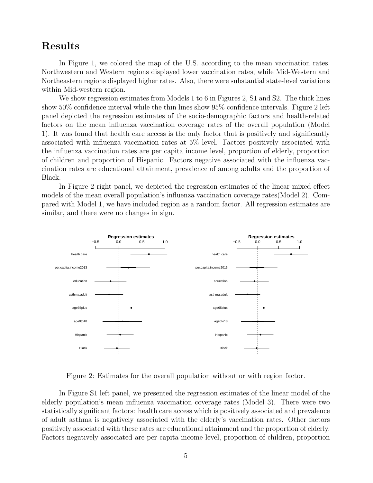## Results

In Figure 1, we colored the map of the U.S. according to the mean vaccination rates. Northwestern and Western regions displayed lower vaccination rates, while Mid-Western and Northeastern regions displayed higher rates. Also, there were substantial state-level variations within Mid-western region.

We show regression estimates from Models 1 to 6 in Figures 2, S1 and S2. The thick lines show 50% confidence interval while the thin lines show 95% confidence intervals. Figure 2 left panel depicted the regression estimates of the socio-demographic factors and health-related factors on the mean influenza vaccination coverage rates of the overall population (Model 1). It was found that health care access is the only factor that is positively and significantly associated with influenza vaccination rates at 5% level. Factors positively associated with the influenza vaccination rates are per capita income level, proportion of elderly, proportion of children and proportion of Hispanic. Factors negative associated with the influenza vaccination rates are educational attainment, prevalence of among adults and the proportion of Black.

In Figure 2 right panel, we depicted the regression estimates of the linear mixed effect models of the mean overall population's influenza vaccination coverage rates(Model 2). Compared with Model 1, we have included region as a random factor. All regression estimates are similar, and there were no changes in sign.



Figure 2: Estimates for the overall population without or with region factor.

In Figure S1 left panel, we presented the regression estimates of the linear model of the elderly population's mean influenza vaccination coverage rates (Model 3). There were two statistically significant factors: health care access which is positively associated and prevalence of adult asthma is negatively associated with the elderly's vaccination rates. Other factors positively associated with these rates are educational attainment and the proportion of elderly. Factors negatively associated are per capita income level, proportion of children, proportion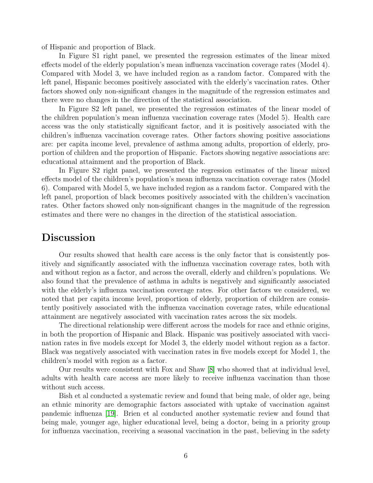of Hispanic and proportion of Black.

In Figure S1 right panel, we presented the regression estimates of the linear mixed effects model of the elderly population's mean influenza vaccination coverage rates (Model 4). Compared with Model 3, we have included region as a random factor. Compared with the left panel, Hispanic becomes positively associated with the elderly's vaccination rates. Other factors showed only non-significant changes in the magnitude of the regression estimates and there were no changes in the direction of the statistical association.

In Figure S2 left panel, we presented the regression estimates of the linear model of the children population's mean influenza vaccination coverage rates (Model 5). Health care access was the only statistically significant factor, and it is positively associated with the children's influenza vaccination coverage rates. Other factors showing positive associations are: per capita income level, prevalence of asthma among adults, proportion of elderly, proportion of children and the proportion of Hispanic. Factors showing negative associations are: educational attainment and the proportion of Black.

In Figure S2 right panel, we presented the regression estimates of the linear mixed effects model of the children's population's mean influenza vaccination coverage rates (Model 6). Compared with Model 5, we have included region as a random factor. Compared with the left panel, proportion of black becomes positively associated with the children's vaccination rates. Other factors showed only non-significant changes in the magnitude of the regression estimates and there were no changes in the direction of the statistical association.

### Discussion

Our results showed that health care access is the only factor that is consistently positively and significantly associated with the influenza vaccination coverage rates, both with and without region as a factor, and across the overall, elderly and children's populations. We also found that the prevalence of asthma in adults is negatively and significantly associated with the elderly's influenza vaccination coverage rates. For other factors we considered, we noted that per capita income level, proportion of elderly, proportion of children are consistently positively associated with the influenza vaccination coverage rates, while educational attainment are negatively associated with vaccination rates across the six models.

The directional relationship were different across the models for race and ethnic origins, in both the proportion of Hispanic and Black. Hispanic was positively associated with vaccination rates in five models except for Model 3, the elderly model without region as a factor. Black was negatively associated with vaccination rates in five models except for Model 1, the children's model with region as a factor.

Our results were consistent with Fox and Shaw [\[8\]](#page-7-7) who showed that at individual level, adults with health care access are more likely to receive influenza vaccination than those without such access.

Bish et al conducted a systematic review and found that being male, of older age, being an ethnic minority are demographic factors associated with uptake of vaccination against pandemic influenza [\[19\]](#page-8-9). Brien et al conducted another systematic review and found that being male, younger age, higher educational level, being a doctor, being in a priority group for influenza vaccination, receiving a seasonal vaccination in the past, believing in the safety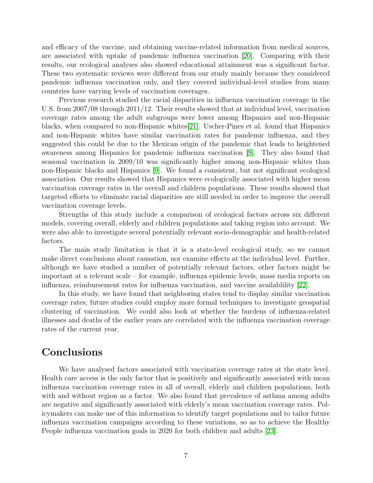and efficacy of the vaccine, and obtaining vaccine-related information from medical sources, are associated with uptake of pandemic influenza vaccination [\[20\]](#page-8-10). Comparing with their results, our ecological analyses also showed educational attainment was a significant factor. These two systematic reviews were different from our study mainly because they considered pandemic influenza vaccination only, and they covered individual-level studies from many countries have varying levels of vaccination coverages.

Previous research studied the racial disparities in influenza vaccination coverage in the U.S. from 2007/08 through 2011/12. Their results showed that at individual level, vaccination coverage rates among the adult subgroups were lower among Hispanics and non-Hispanic blacks, when compared to non-Hispanic whites[\[21\]](#page-9-0). Uscher-Pines et al. found that Hispanics and non-Hispanic whites have similar vaccination rates for pandemic influenza, and they suggested this could be due to the Mexican origin of the pandemic that leads to heightened awareness among Hispanics for pandemic influenza vaccination [\[9\]](#page-7-8). They also found that seasonal vaccination in 2009/10 was significantly higher among non-Hispanic whites than non-Hispanic blacks and Hispanics [\[9\]](#page-7-8). We found a consistent, but not significant ecological association. Our results showed that Hispanics were ecologically associated with higher mean vaccination coverage rates in the overall and children populations. These results showed that targeted efforts to eliminate racial disparities are still needed in order to improve the overall vaccination coverage levels.

Strengths of this study include a comparison of ecological factors across six different models, covering overall, elderly and children populations and taking region into account. We were also able to investigate several potentially relevant socio-demographic and health-related factors.

The main study limitation is that it is a state-level ecological study, so we cannot make direct conclusions about causation, nor examine effects at the individual level. Further, although we have studied a number of potentially relevant factors, other factors might be important at a relevant scale – for example, influenza epidemic levels, mass media reports on influenza, reimbursement rates for influenza vaccination, and vaccine availablility [\[22\]](#page-9-1).

In this study, we have found that neighboring states tend to display similar vaccination coverage rates; future studies could employ more formal techniques to investigate geospatial clustering of vaccination. We could also look at whether the burdens of influenza-related illnesses and deaths of the earlier years are correlated with the influenza vaccination coverage rates of the current year.

# **Conclusions**

We have analysed factors associated with vaccination coverage rates at the state level. Health care access is the only factor that is positively and significantly associated with mean influenza vaccination coverage rates in all of overall, elderly and children populations, both with and without region as a factor. We also found that prevalence of asthma among adults are negative and significantly associated with elderly's mean vaccination coverage rates. Policymakers can make use of this information to identify target populations and to tailor future influenza vaccination campaigns according to these variations, so as to achieve the Healthy People influenza vaccination goals in 2020 for both children and adults [\[23\]](#page-9-2).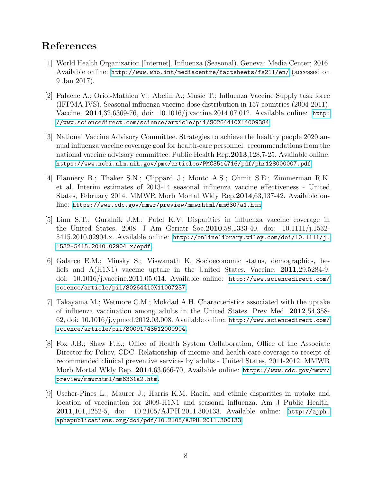# References

- <span id="page-7-0"></span>[1] World Health Organization [Internet]. Influenza (Seasonal). Geneva: Media Center; 2016. Available online: <http://www.who.int/mediacentre/factsheets/fs211/en/> (accessed on 9 Jan 2017).
- <span id="page-7-1"></span>[2] Palache A.; Oriol-Mathieu V.; Abelin A.; Music T.; Influenza Vaccine Supply task force (IFPMA IVS). Seasonal influenza vaccine dose distribution in 157 countries (2004-2011). Vaccine. 2014,32,6369-76, doi: 10.1016/j.vaccine.2014.07.012. Available online: [http:](http://www.sciencedirect.com/science/article/pii/S0264410X14009384) [//www.sciencedirect.com/science/article/pii/S0264410X14009384](http://www.sciencedirect.com/science/article/pii/S0264410X14009384).
- <span id="page-7-2"></span>[3] National Vaccine Advisory Committee. Strategies to achieve the healthy people 2020 annual influenza vaccine coverage goal for health-care personnel: recommendations from the national vaccine advisory committee. Public Health Rep.2013,128,7-25. Available online: <https://www.ncbi.nlm.nih.gov/pmc/articles/PMC3514716/pdf/phr128000007.pdf>
- <span id="page-7-3"></span>[4] Flannery B.; Thaker S.N.; Clippard J.; Monto A.S.; Ohmit S.E.; Zimmerman R.K. et al. Interim estimates of 2013-14 seasonal influenza vaccine effectiveness - United States, February 2014. MMWR Morb Mortal Wkly Rep.2014,63,137-42. Available online: <https://www.cdc.gov/mmwr/preview/mmwrhtml/mm6307a1.htm>
- <span id="page-7-4"></span>[5] Linn S.T.; Guralnik J.M.; Patel K.V. Disparities in influenza vaccine coverage in the United States, 2008. J Am Geriatr Soc.2010,58,1333-40, doi: 10.1111/j.1532- 5415.2010.02904.x. Available online: [http://onlinelibrary.wiley.com/doi/10.1111/j.](http://onlinelibrary.wiley.com/doi/10.1111/j.1532-5415.2010.02904.x/epdf) [1532-5415.2010.02904.x/epdf](http://onlinelibrary.wiley.com/doi/10.1111/j.1532-5415.2010.02904.x/epdf).
- <span id="page-7-5"></span>[6] Galarce E.M.; Minsky S.; Viswanath K. Socioeconomic status, demographics, beliefs and A(H1N1) vaccine uptake in the United States. Vaccine. 2011,29,5284-9, doi: 10.1016/j.vaccine.2011.05.014. Available online: [http://www.sciencedirect.com/](http://www.sciencedirect.com/science/article/pii/S0264410X11007237) [science/article/pii/S0264410X11007237](http://www.sciencedirect.com/science/article/pii/S0264410X11007237).
- <span id="page-7-6"></span>[7] Takayama M.; Wetmore C.M.; Mokdad A.H. Characteristics associated with the uptake of influenza vaccination among adults in the United States. Prev Med. 2012,54,358- 62, doi: 10.1016/j.ypmed.2012.03.008. Available online: [http://www.sciencedirect.com/](http://www.sciencedirect.com/science/article/pii/S0091743512000904) [science/article/pii/S0091743512000904](http://www.sciencedirect.com/science/article/pii/S0091743512000904).
- <span id="page-7-7"></span>[8] Fox J.B.; Shaw F.E.; Office of Health System Collaboration, Office of the Associate Director for Policy, CDC. Relationship of income and health care coverage to receipt of recommended clinical preventive services by adults - United States, 2011-2012. MMWR Morb Mortal Wkly Rep. 2014,63,666-70, Available online: [https://www.cdc.gov/mmwr/](https://www.cdc.gov/mmwr/preview/mmwrhtml/mm6331a2.htm) [preview/mmwrhtml/mm6331a2.htm](https://www.cdc.gov/mmwr/preview/mmwrhtml/mm6331a2.htm).
- <span id="page-7-8"></span>[9] Uscher-Pines L.; Maurer J.; Harris K.M. Racial and ethnic disparities in uptake and location of vaccination for 2009-H1N1 and seasonal influenza. Am J Public Health. 2011,101,1252-5, doi: 10.2105/AJPH.2011.300133. Available online: [http://ajph.](http://ajph.aphapublications.org/doi/pdf/10.2105/AJPH.2011.300133) [aphapublications.org/doi/pdf/10.2105/AJPH.2011.300133](http://ajph.aphapublications.org/doi/pdf/10.2105/AJPH.2011.300133).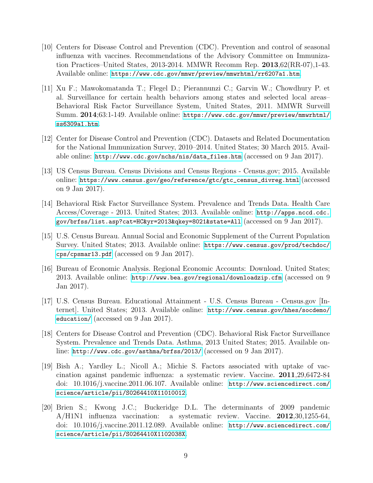- <span id="page-8-0"></span>[10] Centers for Disease Control and Prevention (CDC). Prevention and control of seasonal influenza with vaccines. Recommendations of the Advisory Committee on Immunization Practices–United States, 2013-2014. MMWR Recomm Rep. 2013,62(RR-07),1-43. Available online: <https://www.cdc.gov/mmwr/preview/mmwrhtml/rr6207a1.htm>.
- <span id="page-8-1"></span>[11] Xu F.; Mawokomatanda T.; Flegel D.; Pierannunzi C.; Garvin W.; Chowdhury P. et al. Surveillance for certain health behaviors among states and selected local areas– Behavioral Risk Factor Surveillance System, United States, 2011. MMWR Surveill Summ. 2014;63:1-149. Available online: [https://www.cdc.gov/mmwr/preview/mmwrhtml/](https://www.cdc.gov/mmwr/preview/mmwrhtml/ss6309a1.htm) [ss6309a1.htm](https://www.cdc.gov/mmwr/preview/mmwrhtml/ss6309a1.htm).
- <span id="page-8-2"></span>[12] Center for Disease Control and Prevention (CDC). Datasets and Related Documentation for the National Immunization Survey, 2010–2014. United States; 30 March 2015. Available online: [http://www.cdc.gov/nchs/nis/data\\_files.htm](http://www.cdc.gov/nchs/nis/data_files.htm) (accessed on 9 Jan 2017).
- <span id="page-8-3"></span>[13] US Census Bureau. Census Divisions and Census Regions - Census.gov; 2015. Available online: [https://www.census.gov/geo/reference/gtc/gtc\\_census\\_divreg.html](https://www.census.gov/geo/reference/gtc/gtc_census_divreg.html) (accessed on 9 Jan 2017).
- <span id="page-8-4"></span>[14] Behavioral Risk Factor Surveillance System. Prevalence and Trends Data. Health Care Access/Coverage - 2013. United States; 2013. Available online: [http://apps.nccd.cdc.](http://apps.nccd.cdc.gov/brfss/list.asp?cat=HC&yr=2013&qkey=8021&state=All) [gov/brfss/list.asp?cat=HC&yr=2013&qkey=8021&state=All](http://apps.nccd.cdc.gov/brfss/list.asp?cat=HC&yr=2013&qkey=8021&state=All) (accessed on 9 Jan 2017).
- <span id="page-8-5"></span>[15] U.S. Census Bureau. Annual Social and Economic Supplement of the Current Population Survey. United States; 2013. Available online: [https://www.census.gov/prod/techdoc/](https://www.census.gov/prod/techdoc/cps/cpsmar13.pdf) [cps/cpsmar13.pdf](https://www.census.gov/prod/techdoc/cps/cpsmar13.pdf) (accessed on 9 Jan 2017).
- <span id="page-8-6"></span>[16] Bureau of Economic Analysis. Regional Economic Accounts: Download. United States; 2013. Available online: <http://www.bea.gov/regional/downloadzip.cfm> (accessed on 9 Jan 2017).
- <span id="page-8-7"></span>[17] U.S. Census Bureau. Educational Attainment - U.S. Census Bureau - Census.gov [Internet]. United States; 2013. Available online: [http://www.census.gov/hhes/socdemo/](http://www.census.gov/hhes/socdemo/education/) [education/](http://www.census.gov/hhes/socdemo/education/) (accessed on 9 Jan 2017).
- <span id="page-8-8"></span>[18] Centers for Disease Control and Prevention (CDC). Behavioral Risk Factor Surveillance System. Prevalence and Trends Data. Asthma, 2013 United States; 2015. Available online: <http://www.cdc.gov/asthma/brfss/2013/> (accessed on 9 Jan 2017).
- <span id="page-8-9"></span>[19] Bish A.; Yardley L.; Nicoll A.; Michie S. Factors associated with uptake of vaccination against pandemic influenza: a systematic review. Vaccine. 2011,29,6472-84 doi: 10.1016/j.vaccine.2011.06.107. Available online: [http://www.sciencedirect.com/](http://www.sciencedirect.com/science/article/pii/S0264410X11010012) [science/article/pii/S0264410X11010012](http://www.sciencedirect.com/science/article/pii/S0264410X11010012).
- <span id="page-8-10"></span>[20] Brien S.; Kwong J.C.; Buckeridge D.L. The determinants of 2009 pandemic A/H1N1 influenza vaccination: a systematic review. Vaccine. 2012,30,1255-64, doi: 10.1016/j.vaccine.2011.12.089. Available online: [http://www.sciencedirect.com/](http://www.sciencedirect.com/science/article/pii/S0264410X1102038X) [science/article/pii/S0264410X1102038X](http://www.sciencedirect.com/science/article/pii/S0264410X1102038X).